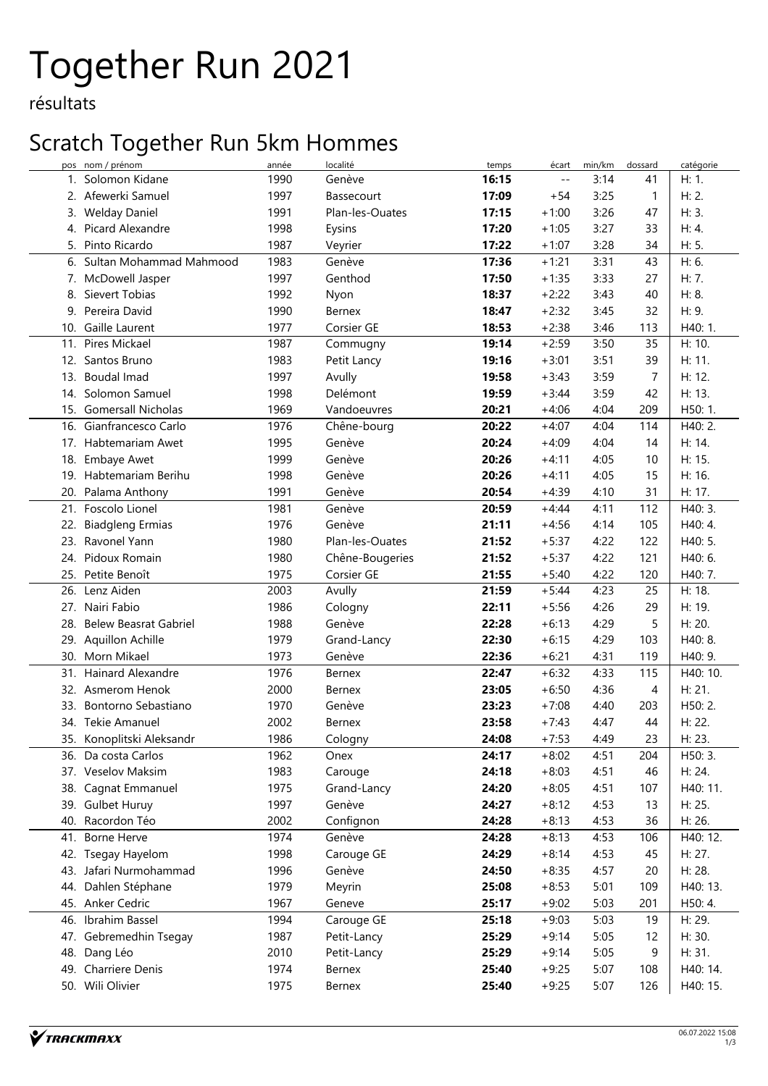# Together Run 2021

résultats

### Scratch Together Run 5km Hommes

| pos | nom / prénom                 | année | localité        | temps | écart   | min/km | dossard      | catégorie |
|-----|------------------------------|-------|-----------------|-------|---------|--------|--------------|-----------|
|     | 1. Solomon Kidane            | 1990  | Genève          | 16:15 | $-1$    | 3:14   | 41           | H: 1.     |
|     | 2. Afewerki Samuel           | 1997  | Bassecourt      | 17:09 | $+54$   | 3:25   | $\mathbf{1}$ | H: 2.     |
| 3.  | <b>Welday Daniel</b>         | 1991  | Plan-les-Ouates | 17:15 | $+1:00$ | 3:26   | 47           | H: 3.     |
| 4.  | Picard Alexandre             | 1998  | Eysins          | 17:20 | $+1:05$ | 3:27   | 33           | H: 4.     |
| 5.  | Pinto Ricardo                | 1987  | Veyrier         | 17:22 | $+1:07$ | 3:28   | 34           | H: 5.     |
| 6.  | Sultan Mohammad Mahmood      | 1983  | Genève          | 17:36 | $+1:21$ | 3:31   | 43           | H: 6.     |
|     | 7. McDowell Jasper           | 1997  | Genthod         | 17:50 | $+1:35$ | 3:33   | 27           | H: 7.     |
| 8.  | Sievert Tobias               | 1992  | Nyon            | 18:37 | $+2:22$ | 3:43   | 40           | H: 8.     |
|     | 9. Pereira David             | 1990  | Bernex          | 18:47 | $+2:32$ | 3:45   | 32           | H: 9.     |
|     | 10. Gaille Laurent           | 1977  | Corsier GE      | 18:53 | $+2:38$ | 3:46   | 113          | H40: 1.   |
|     | 11. Pires Mickael            | 1987  | Commugny        | 19:14 | $+2:59$ | 3:50   | 35           | H: 10.    |
| 12. | Santos Bruno                 | 1983  | Petit Lancy     | 19:16 | $+3:01$ | 3:51   | 39           | H: 11.    |
|     | 13. Boudal Imad              | 1997  | Avully          | 19:58 | $+3:43$ | 3:59   | 7            | H: 12.    |
|     | 14. Solomon Samuel           | 1998  | Delémont        | 19:59 | $+3:44$ | 3:59   | 42           | H: 13.    |
|     | 15. Gomersall Nicholas       | 1969  | Vandoeuvres     | 20:21 | $+4:06$ | 4:04   | 209          | H50: 1.   |
| 16. | Gianfrancesco Carlo          | 1976  | Chêne-bourg     | 20:22 | $+4:07$ | 4:04   | 114          | H40: 2.   |
|     | 17. Habtemariam Awet         | 1995  | Genève          | 20:24 | $+4:09$ | 4:04   | 14           | H: 14.    |
|     | 18. Embaye Awet              | 1999  | Genève          | 20:26 | $+4:11$ | 4:05   | 10           | H: 15.    |
|     | 19. Habtemariam Berihu       | 1998  | Genève          | 20:26 | $+4:11$ | 4:05   | 15           | H: 16.    |
| 20. | Palama Anthony               | 1991  | Genève          | 20:54 | $+4:39$ | 4:10   | 31           | H: 17.    |
|     | 21. Foscolo Lionel           | 1981  | Genève          | 20:59 | $+4:44$ | 4:11   | 112          | H40: 3.   |
| 22. | <b>Biadgleng Ermias</b>      | 1976  | Genève          | 21:11 | $+4:56$ | 4:14   | 105          | H40: 4.   |
|     | 23. Ravonel Yann             | 1980  | Plan-les-Ouates | 21:52 | $+5:37$ | 4:22   | 122          | H40: 5.   |
|     | 24. Pidoux Romain            | 1980  | Chêne-Bougeries | 21:52 | $+5:37$ | 4:22   | 121          | H40: 6.   |
|     | 25. Petite Benoît            | 1975  | Corsier GE      | 21:55 | $+5:40$ | 4:22   | 120          | H40: 7.   |
|     | 26. Lenz Aiden               | 2003  | Avully          | 21:59 | $+5:44$ | 4:23   | 25           | H: 18.    |
|     | 27. Nairi Fabio              | 1986  | Cologny         | 22:11 | $+5:56$ | 4:26   | 29           | H: 19.    |
| 28. | <b>Belew Beasrat Gabriel</b> | 1988  | Genève          | 22:28 | $+6:13$ | 4:29   | 5            | H: 20.    |
| 29. | Aquillon Achille             | 1979  | Grand-Lancy     | 22:30 | $+6:15$ | 4:29   | 103          | H40: 8.   |
|     | 30. Morn Mikael              | 1973  | Genève          | 22:36 | $+6:21$ | 4:31   | 119          | H40: 9.   |
| 31. | Hainard Alexandre            | 1976  | Bernex          | 22:47 | $+6:32$ | 4:33   | 115          | H40: 10.  |
|     | 32. Asmerom Henok            | 2000  | Bernex          | 23:05 | $+6:50$ | 4:36   | 4            | H: 21.    |
|     | 33. Bontorno Sebastiano      | 1970  | Genève          | 23:23 | $+7:08$ | 4:40   | 203          | H50: 2.   |
|     | 34. Tekie Amanuel            | 2002  | <b>Bernex</b>   | 23:58 | $+7:43$ | 4:47   | 44           | H: 22.    |
|     | 35. Konoplitski Aleksandr    | 1986  | Cologny         | 24:08 | $+7:53$ | 4:49   | 23           | H: 23.    |
|     | 36. Da costa Carlos          | 1962  | Onex            | 24:17 | $+8:02$ | 4:51   | 204          | H50: 3.   |
|     | 37. Veselov Maksim           | 1983  | Carouge         | 24:18 | $+8:03$ | 4:51   | 46           | H: 24.    |
| 38. | Cagnat Emmanuel              | 1975  | Grand-Lancy     | 24:20 | $+8:05$ | 4:51   | 107          | H40: 11.  |
|     | 39. Gulbet Huruy             | 1997  | Genève          | 24:27 | $+8:12$ | 4:53   | 13           | H: 25.    |
| 40. | Racordon Téo                 | 2002  | Confignon       | 24:28 | $+8:13$ | 4:53   | 36           | H: 26.    |
|     | 41. Borne Herve              | 1974  | Genève          | 24:28 | $+8:13$ | 4:53   | 106          | H40: 12.  |
|     | 42. Tsegay Hayelom           | 1998  | Carouge GE      | 24:29 | $+8:14$ | 4:53   | 45           | H: 27.    |
|     | 43. Jafari Nurmohammad       | 1996  | Genève          | 24:50 | $+8:35$ | 4:57   | 20           | H: 28.    |
|     | 44. Dahlen Stéphane          | 1979  | Meyrin          | 25:08 | $+8:53$ | 5:01   | 109          | H40: 13.  |
|     | 45. Anker Cedric             | 1967  | Geneve          | 25:17 | $+9:02$ | 5:03   | 201          | H50: 4.   |
|     | 46. Ibrahim Bassel           | 1994  | Carouge GE      | 25:18 | $+9:03$ | 5:03   | 19           | H: 29.    |
|     | 47. Gebremedhin Tsegay       | 1987  | Petit-Lancy     | 25:29 | $+9:14$ | 5:05   | 12           | H: 30.    |
|     | 48. Dang Léo                 | 2010  | Petit-Lancy     | 25:29 | $+9:14$ | 5:05   | 9            | H: 31.    |
|     | 49. Charriere Denis          | 1974  | Bernex          | 25:40 | $+9:25$ | 5:07   | 108          | H40: 14.  |
|     | 50. Wili Olivier             | 1975  |                 | 25:40 |         | 5:07   | 126          |           |
|     |                              |       | Bernex          |       | $+9:25$ |        |              | H40: 15.  |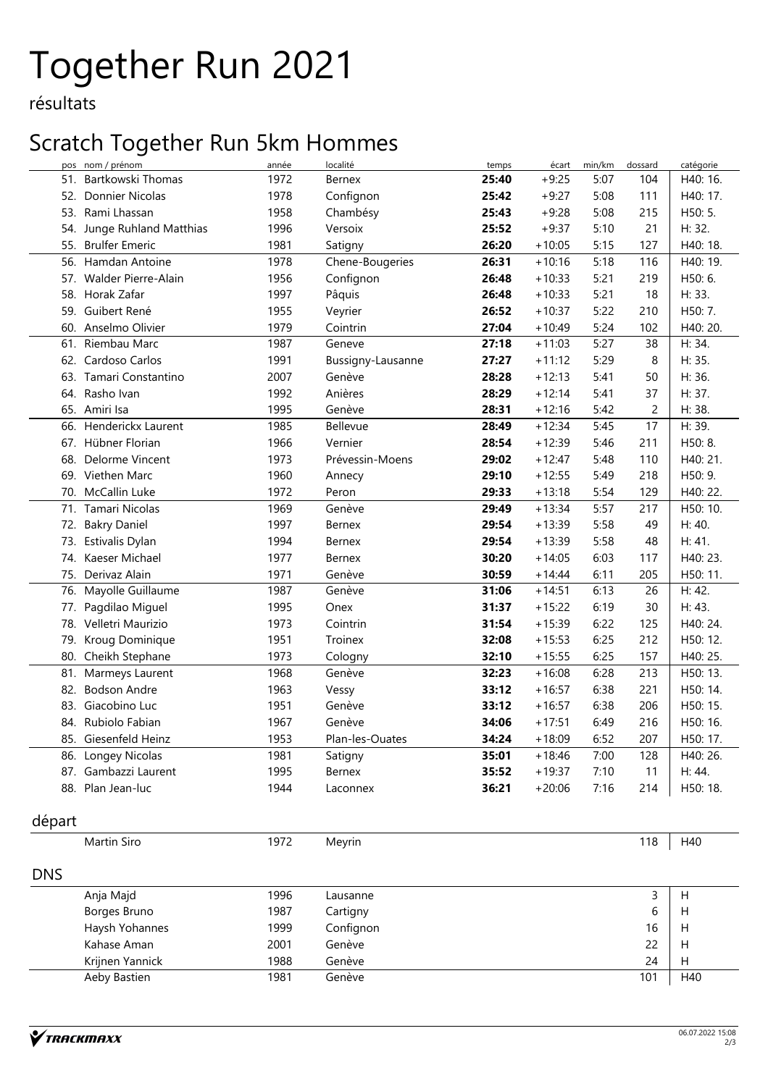# Together Run 2021

résultats

#### Scratch Together Run 5km Hommes

| pos        | nom / prénom            | année | localité          | temps | écart    | min/km | dossard        | catégorie |
|------------|-------------------------|-------|-------------------|-------|----------|--------|----------------|-----------|
|            | 51. Bartkowski Thomas   | 1972  | Bernex            | 25:40 | $+9:25$  | 5:07   | 104            | H40: 16.  |
| 52.        | Donnier Nicolas         | 1978  | Confignon         | 25:42 | $+9:27$  | 5:08   | 111            | H40: 17.  |
|            | 53. Rami Lhassan        | 1958  | Chambésy          | 25:43 | $+9:28$  | 5:08   | 215            | H50: 5.   |
| 54.        | Junge Ruhland Matthias  | 1996  | Versoix           | 25:52 | $+9:37$  | 5:10   | 21             | H: 32.    |
|            | 55. Brulfer Emeric      | 1981  | Satigny           | 26:20 | $+10:05$ | 5:15   | 127            | H40: 18.  |
| 56.        | Hamdan Antoine          | 1978  | Chene-Bougeries   | 26:31 | $+10:16$ | 5:18   | 116            | H40: 19.  |
|            | 57. Walder Pierre-Alain | 1956  | Confignon         | 26:48 | $+10:33$ | 5:21   | 219            | H50:6.    |
|            | 58. Horak Zafar         | 1997  | Pâquis            | 26:48 | $+10:33$ | 5:21   | 18             | H: 33.    |
|            | 59. Guibert René        | 1955  | Veyrier           | 26:52 | $+10:37$ | 5:22   | 210            | H50: 7.   |
|            | 60. Anselmo Olivier     | 1979  | Cointrin          | 27:04 | $+10:49$ | 5:24   | 102            | H40: 20.  |
| 61.        | Riembau Marc            | 1987  | Geneve            | 27:18 | $+11:03$ | 5:27   | 38             | H: 34.    |
| 62.        | Cardoso Carlos          | 1991  | Bussigny-Lausanne | 27:27 | $+11:12$ | 5:29   | 8              | H: 35.    |
| 63.        | Tamari Constantino      | 2007  | Genève            | 28:28 | $+12:13$ | 5:41   | 50             | H: 36.    |
|            | 64. Rasho Ivan          | 1992  | Anières           | 28:29 | $+12:14$ | 5:41   | 37             | H: 37.    |
| 65.        | Amiri Isa               | 1995  | Genève            | 28:31 | $+12:16$ | 5:42   | $\overline{c}$ | H: 38.    |
| 66.        | Henderickx Laurent      | 1985  | Bellevue          | 28:49 | $+12:34$ | 5:45   | 17             | H: 39.    |
|            | 67. Hübner Florian      | 1966  | Vernier           | 28:54 | $+12:39$ | 5:46   | 211            | H50: 8.   |
| 68.        | Delorme Vincent         | 1973  | Prévessin-Moens   | 29:02 | $+12:47$ | 5:48   | 110            | H40: 21.  |
|            | 69. Viethen Marc        | 1960  | Annecy            | 29:10 | $+12:55$ | 5:49   | 218            | H50: 9.   |
|            | 70. McCallin Luke       | 1972  | Peron             | 29:33 | $+13:18$ | 5:54   | 129            | H40: 22.  |
| 71.        | Tamari Nicolas          | 1969  | Genève            | 29:49 | $+13:34$ | 5:57   | 217            | H50: 10.  |
|            | 72. Bakry Daniel        | 1997  | Bernex            | 29:54 | $+13:39$ | 5:58   | 49             | H: 40.    |
|            | 73. Estivalis Dylan     | 1994  | Bernex            | 29:54 | $+13:39$ | 5:58   | 48             | H: 41.    |
|            | 74. Kaeser Michael      | 1977  | Bernex            | 30:20 | $+14:05$ | 6:03   | 117            | H40: 23.  |
|            | 75. Derivaz Alain       | 1971  | Genève            | 30:59 | $+14:44$ | 6:11   | 205            | H50: 11.  |
| 76.        | Mayolle Guillaume       | 1987  | Genève            | 31:06 | $+14:51$ | 6:13   | 26             | H: 42.    |
| 77.        | Pagdilao Miguel         | 1995  | Onex              | 31:37 | $+15:22$ | 6:19   | 30             | H: 43.    |
|            | 78. Velletri Maurizio   | 1973  | Cointrin          | 31:54 | $+15:39$ | 6:22   | 125            | H40: 24.  |
| 79.        | Kroug Dominique         | 1951  | Troinex           | 32:08 | $+15:53$ | 6:25   | 212            | H50: 12.  |
| 80.        | Cheikh Stephane         | 1973  | Cologny           | 32:10 | $+15:55$ | 6:25   | 157            | H40: 25.  |
|            | 81. Marmeys Laurent     | 1968  | Genève            | 32:23 | $+16:08$ | 6:28   | 213            | H50: 13.  |
|            | 82. Bodson Andre        | 1963  | Vessy             | 33:12 | $+16:57$ | 6:38   | 221            | H50: 14.  |
|            | 83. Giacobino Luc       | 1951  | Genève            | 33:12 | $+16:57$ | 6:38   | 206            | H50: 15.  |
|            | 84. Rubiolo Fabian      | 1967  | Genève            | 34:06 | $+17:51$ | 6:49   | 216            | H50: 16.  |
|            | 85. Giesenfeld Heinz    | 1953  | Plan-les-Ouates   | 34:24 | $+18:09$ | 6:52   | 207            | H50: 17.  |
| 86.        | Longey Nicolas          | 1981  | Satigny           | 35:01 | $+18:46$ | 7:00   | 128            | H40: 26.  |
|            | 87. Gambazzi Laurent    | 1995  | Bernex            | 35:52 | $+19:37$ | 7:10   | 11             | H: 44.    |
|            | 88. Plan Jean-luc       | 1944  | Laconnex          | 36:21 | $+20:06$ | 7:16   | 214            | H50: 18.  |
|            |                         |       |                   |       |          |        |                |           |
| départ     |                         |       |                   |       |          |        |                |           |
|            | Martin Siro             | 1972  | Meyrin            |       |          |        | 118            | H40       |
|            |                         |       |                   |       |          |        |                |           |
| <b>DNS</b> |                         |       |                   |       |          |        |                |           |
|            | Anja Majd               | 1996  | Lausanne          |       |          |        | 3              | Н         |
|            | Borges Bruno            | 1987  | Cartigny          |       |          |        | 6              | Н         |
|            | Haysh Yohannes          | 1999  | Confignon         |       |          |        | 16             | Н         |
|            | Kahase Aman             | 2001  | Genève            |       |          |        | 22             | Н         |
|            | Krijnen Yannick         | 1988  | Genève            |       |          |        | 24             | Н         |
|            | Aeby Bastien            | 1981  | Genève            |       |          |        | 101            | H40       |